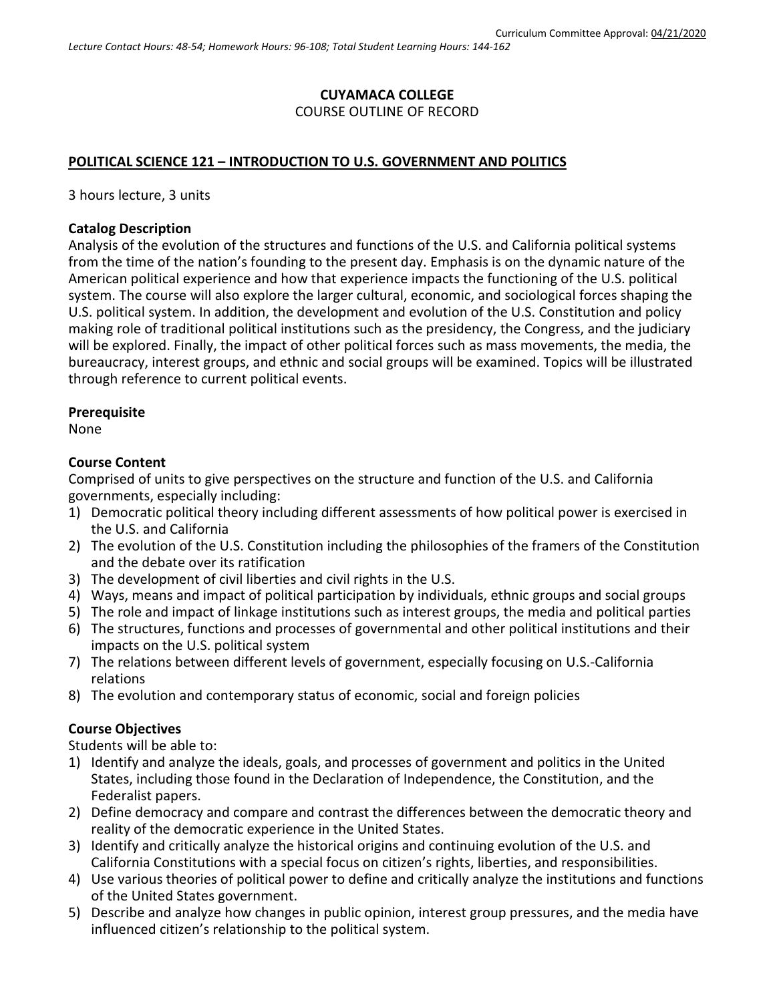# **CUYAMACA COLLEGE** COURSE OUTLINE OF RECORD

# **POLITICAL SCIENCE 121 – INTRODUCTION TO U.S. GOVERNMENT AND POLITICS**

3 hours lecture, 3 units

#### **Catalog Description**

Analysis of the evolution of the structures and functions of the U.S. and California political systems from the time of the nation's founding to the present day. Emphasis is on the dynamic nature of the American political experience and how that experience impacts the functioning of the U.S. political system. The course will also explore the larger cultural, economic, and sociological forces shaping the U.S. political system. In addition, the development and evolution of the U.S. Constitution and policy making role of traditional political institutions such as the presidency, the Congress, and the judiciary will be explored. Finally, the impact of other political forces such as mass movements, the media, the bureaucracy, interest groups, and ethnic and social groups will be examined. Topics will be illustrated through reference to current political events.

#### **Prerequisite**

None

### **Course Content**

Comprised of units to give perspectives on the structure and function of the U.S. and California governments, especially including:

- 1) Democratic political theory including different assessments of how political power is exercised in the U.S. and California
- 2) The evolution of the U.S. Constitution including the philosophies of the framers of the Constitution and the debate over its ratification
- 3) The development of civil liberties and civil rights in the U.S.
- 4) Ways, means and impact of political participation by individuals, ethnic groups and social groups
- 5) The role and impact of linkage institutions such as interest groups, the media and political parties
- 6) The structures, functions and processes of governmental and other political institutions and their impacts on the U.S. political system
- 7) The relations between different levels of government, especially focusing on U.S.-California relations
- 8) The evolution and contemporary status of economic, social and foreign policies

### **Course Objectives**

Students will be able to:

- 1) Identify and analyze the ideals, goals, and processes of government and politics in the United States, including those found in the Declaration of Independence, the Constitution, and the Federalist papers.
- 2) Define democracy and compare and contrast the differences between the democratic theory and reality of the democratic experience in the United States.
- 3) Identify and critically analyze the historical origins and continuing evolution of the U.S. and California Constitutions with a special focus on citizen's rights, liberties, and responsibilities.
- 4) Use various theories of political power to define and critically analyze the institutions and functions of the United States government.
- 5) Describe and analyze how changes in public opinion, interest group pressures, and the media have influenced citizen's relationship to the political system.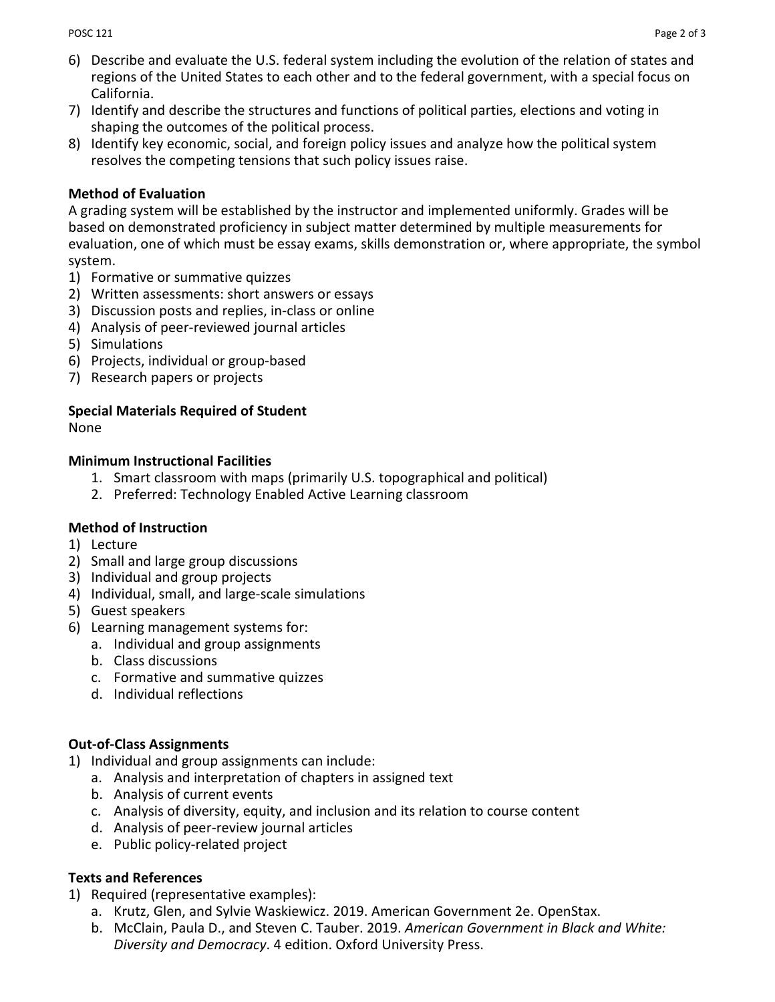- 6) Describe and evaluate the U.S. federal system including the evolution of the relation of states and regions of the United States to each other and to the federal government, with a special focus on California.
- 7) Identify and describe the structures and functions of political parties, elections and voting in shaping the outcomes of the political process.
- 8) Identify key economic, social, and foreign policy issues and analyze how the political system resolves the competing tensions that such policy issues raise.

## **Method of Evaluation**

A grading system will be established by the instructor and implemented uniformly. Grades will be based on demonstrated proficiency in subject matter determined by multiple measurements for evaluation, one of which must be essay exams, skills demonstration or, where appropriate, the symbol system.

- 1) Formative or summative quizzes
- 2) Written assessments: short answers or essays
- 3) Discussion posts and replies, in-class or online
- 4) Analysis of peer-reviewed journal articles
- 5) Simulations
- 6) Projects, individual or group-based
- 7) Research papers or projects

# **Special Materials Required of Student**

None

### **Minimum Instructional Facilities**

- 1. Smart classroom with maps (primarily U.S. topographical and political)
- 2. Preferred: Technology Enabled Active Learning classroom

### **Method of Instruction**

- 1) Lecture
- 2) Small and large group discussions
- 3) Individual and group projects
- 4) Individual, small, and large-scale simulations
- 5) Guest speakers
- 6) Learning management systems for:
	- a. Individual and group assignments
	- b. Class discussions
	- c. Formative and summative quizzes
	- d. Individual reflections

# **Out-of-Class Assignments**

- 1) Individual and group assignments can include:
	- a. Analysis and interpretation of chapters in assigned text
	- b. Analysis of current events
	- c. Analysis of diversity, equity, and inclusion and its relation to course content
	- d. Analysis of peer-review journal articles
	- e. Public policy-related project

## **Texts and References**

- 1) Required (representative examples):
	- a. Krutz, Glen, and Sylvie Waskiewicz. 2019. American Government 2e. OpenStax.
	- b. McClain, Paula D., and Steven C. Tauber. 2019. *American Government in Black and White: Diversity and Democracy*. 4 edition. Oxford University Press.